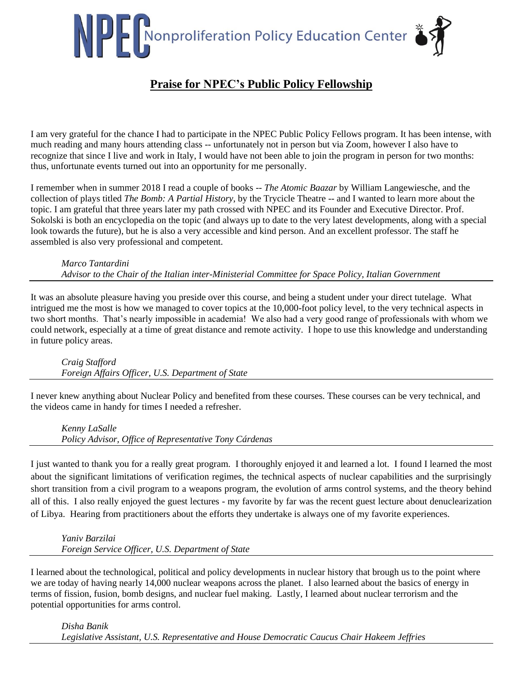# NPP Nonproliferation Policy Education Center

# **Praise for NPEC's Public Policy Fellowship**

I am very grateful for the chance I had to participate in the NPEC Public Policy Fellows program. It has been intense, with much reading and many hours attending class -- unfortunately not in person but via Zoom, however I also have to recognize that since I live and work in Italy, I would have not been able to join the program in person for two months: thus, unfortunate events turned out into an opportunity for me personally.

I remember when in summer 2018 I read a couple of books -- *The Atomic Baazar* by William Langewiesche, and the collection of plays titled *The Bomb: A Partial History*, by the Trycicle Theatre -- and I wanted to learn more about the topic. I am grateful that three years later my path crossed with NPEC and its Founder and Executive Director. Prof. Sokolski is both an encyclopedia on the topic (and always up to date to the very latest developments, along with a special look towards the future), but he is also a very accessible and kind person. And an excellent professor. The staff he assembled is also very professional and competent.

*Marco Tantardini Advisor to the Chair of the Italian inter-Ministerial Committee for Space Policy, Italian Government*

It was an absolute pleasure having you preside over this course, and being a student under your direct tutelage. What intrigued me the most is how we managed to cover topics at the 10,000-foot policy level, to the very technical aspects in two short months. That's nearly impossible in academia! We also had a very good range of professionals with whom we could network, especially at a time of great distance and remote activity. I hope to use this knowledge and understanding in future policy areas.

*Craig Stafford Foreign Affairs Officer, U.S. Department of State*

I never knew anything about Nuclear Policy and benefited from these courses. These courses can be very technical, and the videos came in handy for times I needed a refresher.

*Kenny LaSalle Policy Advisor, Office of Representative Tony Cárdenas*

I just wanted to thank you for a really great program. I thoroughly enjoyed it and learned a lot. I found I learned the most about the significant limitations of verification regimes, the technical aspects of nuclear capabilities and the surprisingly short transition from a civil program to a weapons program, the evolution of arms control systems, and the theory behind all of this. I also really enjoyed the guest lectures - my favorite by far was the recent guest lecture about denuclearization of Libya. Hearing from practitioners about the efforts they undertake is always one of my favorite experiences.

*Yaniv Barzilai Foreign Service Officer, U.S. Department of State*

I learned about the technological, political and policy developments in nuclear history that brough us to the point where we are today of having nearly 14,000 nuclear weapons across the planet. I also learned about the basics of energy in terms of fission, fusion, bomb designs, and nuclear fuel making. Lastly, I learned about nuclear terrorism and the potential opportunities for arms control.

*Disha Banik Legislative Assistant, U.S. Representative and House Democratic Caucus Chair Hakeem Jeffries*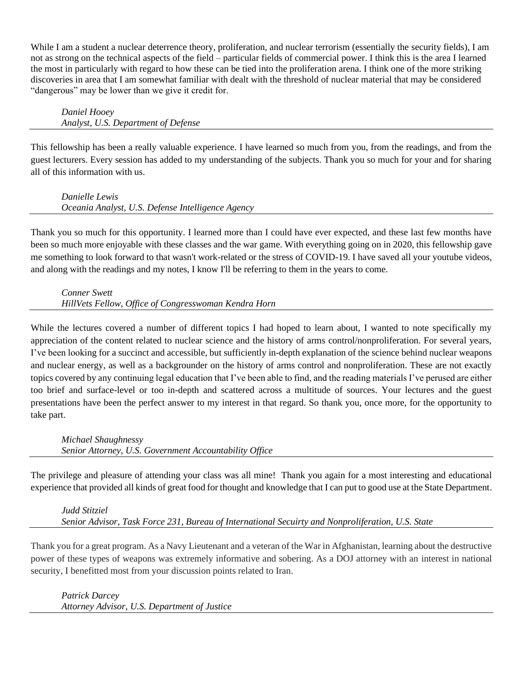While I am a student a nuclear deterrence theory, proliferation, and nuclear terrorism (essentially the security fields), I am not as strong on the technical aspects of the field – particular fields of commercial power. I think this is the area I learned the most in particularly with regard to how these can be tied into the proliferation arena. I think one of the more striking discoveries in area that I am somewhat familiar with dealt with the threshold of nuclear material that may be considered "dangerous" may be lower than we give it credit for.

*Daniel Hooey Analyst, U.S. Department of Defense*

This fellowship has been a really valuable experience. I have learned so much from you, from the readings, and from the guest lecturers. Every session has added to my understanding of the subjects. Thank you so much for your and for sharing all of this information with us.

*Danielle Lewis Oceania Analyst, U.S. Defense Intelligence Agency*

Thank you so much for this opportunity. I learned more than I could have ever expected, and these last few months have been so much more enjoyable with these classes and the war game. With everything going on in 2020, this fellowship gave me something to look forward to that wasn't work-related or the stress of COVID-19. I have saved all your youtube videos, and along with the readings and my notes, I know I'll be referring to them in the years to come.

*Conner Swett HillVets Fellow, Office of Congresswoman Kendra Horn*

While the lectures covered a number of different topics I had hoped to learn about, I wanted to note specifically my appreciation of the content related to nuclear science and the history of arms control/nonproliferation. For several years, I've been looking for a succinct and accessible, but sufficiently in-depth explanation of the science behind nuclear weapons and nuclear energy, as well as a backgrounder on the history of arms control and nonproliferation. These are not exactly topics covered by any continuing legal education that I've been able to find, and the reading materials I've perused are either too brief and surface-level or too in-depth and scattered across a multitude of sources. Your lectures and the guest presentations have been the perfect answer to my interest in that regard. So thank you, once more, for the opportunity to take part.

*Michael Shaughnessy Senior Attorney, U.S. Government Accountability Office*

The privilege and pleasure of attending your class was all mine! Thank you again for a most interesting and educational experience that provided all kinds of great food for thought and knowledge that I can put to good use at the State Department.

*Judd Stitziel Senior Advisor, Task Force 231, Bureau of International Secuirty and Nonproliferation, U.S. State*

Thank you for a great program. As a Navy Lieutenant and a veteran of the War in Afghanistan, learning about the destructive power of these types of weapons was extremely informative and sobering. As a DOJ attorney with an interest in national security, I benefitted most from your discussion points related to Iran.

*Patrick Darcey Attorney Advisor, U.S. Department of Justice*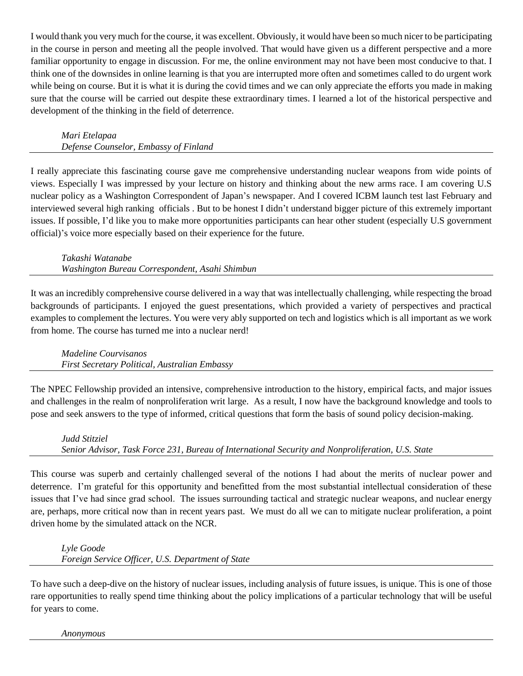I would thank you very much for the course, it was excellent. Obviously, it would have been so much nicer to be participating in the course in person and meeting all the people involved. That would have given us a different perspective and a more familiar opportunity to engage in discussion. For me, the online environment may not have been most conducive to that. I think one of the downsides in online learning is that you are interrupted more often and sometimes called to do urgent work while being on course. But it is what it is during the covid times and we can only appreciate the efforts you made in making sure that the course will be carried out despite these extraordinary times. I learned a lot of the historical perspective and development of the thinking in the field of deterrence.

# *Mari Etelapaa*

*Defense Counselor, Embassy of Finland*

I really appreciate this fascinating course gave me comprehensive understanding nuclear weapons from wide points of views. Especially I was impressed by your lecture on history and thinking about the new arms race. I am covering U.S nuclear policy as a Washington Correspondent of Japan's newspaper. And I covered ICBM launch test last February and interviewed several high ranking officials . But to be honest I didn't understand bigger picture of this extremely important issues. If possible, I'd like you to make more opportunities participants can hear other student (especially U.S government official)'s voice more especially based on their experience for the future.

*Takashi Watanabe Washington Bureau Correspondent, Asahi Shimbun*

It was an incredibly comprehensive course delivered in a way that was intellectually challenging, while respecting the broad backgrounds of participants. I enjoyed the guest presentations, which provided a variety of perspectives and practical examples to complement the lectures. You were very ably supported on tech and logistics which is all important as we work from home. The course has turned me into a nuclear nerd!

*Madeline Courvisanos First Secretary Political, Australian Embassy*

The NPEC Fellowship provided an intensive, comprehensive introduction to the history, empirical facts, and major issues and challenges in the realm of nonproliferation writ large. As a result, I now have the background knowledge and tools to pose and seek answers to the type of informed, critical questions that form the basis of sound policy decision-making.

# *Judd Stitziel*

*Senior Advisor, Task Force 231, Bureau of International Security and Nonproliferation, U.S. State*

This course was superb and certainly challenged several of the notions I had about the merits of nuclear power and deterrence. I'm grateful for this opportunity and benefitted from the most substantial intellectual consideration of these issues that I've had since grad school. The issues surrounding tactical and strategic nuclear weapons, and nuclear energy are, perhaps, more critical now than in recent years past. We must do all we can to mitigate nuclear proliferation, a point driven home by the simulated attack on the NCR.

*Lyle Goode Foreign Service Officer, U.S. Department of State*

To have such a deep-dive on the history of nuclear issues, including analysis of future issues, is unique. This is one of those rare opportunities to really spend time thinking about the policy implications of a particular technology that will be useful for years to come.

*Anonymous*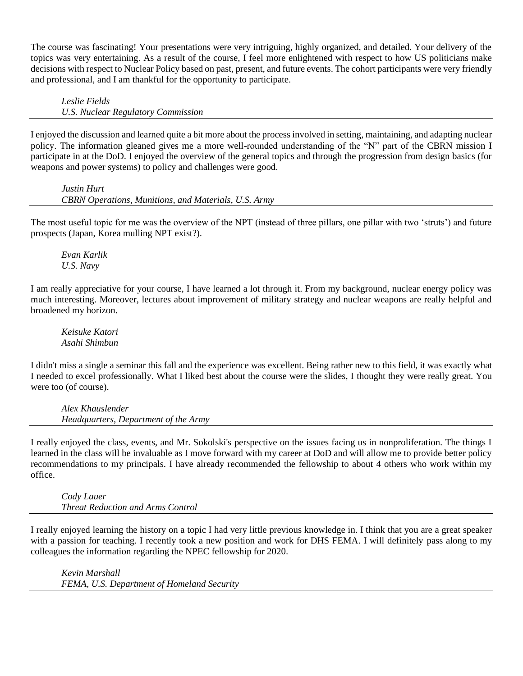The course was fascinating! Your presentations were very intriguing, highly organized, and detailed. Your delivery of the topics was very entertaining. As a result of the course, I feel more enlightened with respect to how US politicians make decisions with respect to Nuclear Policy based on past, present, and future events. The cohort participants were very friendly and professional, and I am thankful for the opportunity to participate.

*Leslie Fields U.S. Nuclear Regulatory Commission*

I enjoyed the discussion and learned quite a bit more about the process involved in setting, maintaining, and adapting nuclear policy. The information gleaned gives me a more well-rounded understanding of the "N" part of the CBRN mission I participate in at the DoD. I enjoyed the overview of the general topics and through the progression from design basics (for weapons and power systems) to policy and challenges were good.

*Justin Hurt CBRN Operations, Munitions, and Materials, U.S. Army*

The most useful topic for me was the overview of the NPT (instead of three pillars, one pillar with two 'struts') and future prospects (Japan, Korea mulling NPT exist?).

*Evan Karlik U.S. Navy*

I am really appreciative for your course, I have learned a lot through it. From my background, nuclear energy policy was much interesting. Moreover, lectures about improvement of military strategy and nuclear weapons are really helpful and broadened my horizon.

*Keisuke Katori Asahi Shimbun*

I didn't miss a single a seminar this fall and the experience was excellent. Being rather new to this field, it was exactly what I needed to excel professionally. What I liked best about the course were the slides, I thought they were really great. You were too (of course).

*Alex Khauslender Headquarters, Department of the Army*

I really enjoyed the class, events, and Mr. Sokolski's perspective on the issues facing us in nonproliferation. The things I learned in the class will be invaluable as I move forward with my career at DoD and will allow me to provide better policy recommendations to my principals. I have already recommended the fellowship to about 4 others who work within my office.

*Cody Lauer Threat Reduction and Arms Control*

I really enjoyed learning the history on a topic I had very little previous knowledge in. I think that you are a great speaker with a passion for teaching. I recently took a new position and work for DHS FEMA. I will definitely pass along to my colleagues the information regarding the NPEC fellowship for 2020.

*Kevin Marshall FEMA, U.S. Department of Homeland Security*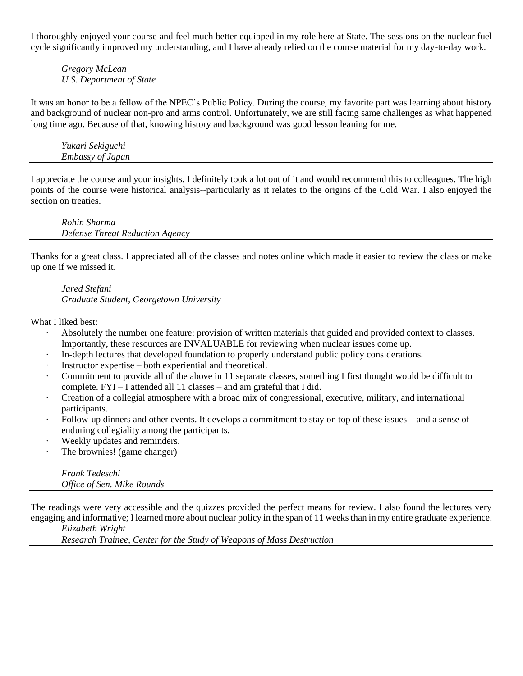I thoroughly enjoyed your course and feel much better equipped in my role here at State. The sessions on the nuclear fuel cycle significantly improved my understanding, and I have already relied on the course material for my day-to-day work.

*Gregory McLean U.S. Department of State*

It was an honor to be a fellow of the NPEC's Public Policy. During the course, my favorite part was learning about history and background of nuclear non-pro and arms control. Unfortunately, we are still facing same challenges as what happened long time ago. Because of that, knowing history and background was good lesson leaning for me.

*Yukari Sekiguchi Embassy of Japan*

I appreciate the course and your insights. I definitely took a lot out of it and would recommend this to colleagues. The high points of the course were historical analysis--particularly as it relates to the origins of the Cold War. I also enjoyed the section on treaties.

*Rohin Sharma Defense Threat Reduction Agency*

Thanks for a great class. I appreciated all of the classes and notes online which made it easier to review the class or make up one if we missed it.

*Jared Stefani Graduate Student, Georgetown University*

What I liked best:

- Absolutely the number one feature: provision of written materials that guided and provided context to classes. Importantly, these resources are INVALUABLE for reviewing when nuclear issues come up.
- · In-depth lectures that developed foundation to properly understand public policy considerations.
- Instructor expertise both experiential and theoretical.
- · Commitment to provide all of the above in 11 separate classes, something I first thought would be difficult to complete. FYI – I attended all 11 classes – and am grateful that I did.
- · Creation of a collegial atmosphere with a broad mix of congressional, executive, military, and international participants.
- Follow-up dinners and other events. It develops a commitment to stay on top of these issues and a sense of enduring collegiality among the participants.
- Weekly updates and reminders.
- The brownies! (game changer)

*Frank Tedeschi Office of Sen. Mike Rounds*

The readings were very accessible and the quizzes provided the perfect means for review. I also found the lectures very engaging and informative; I learned more about nuclear policy in the span of 11 weeks than in my entire graduate experience.

*Elizabeth Wright*

*Research Trainee, Center for the Study of Weapons of Mass Destruction*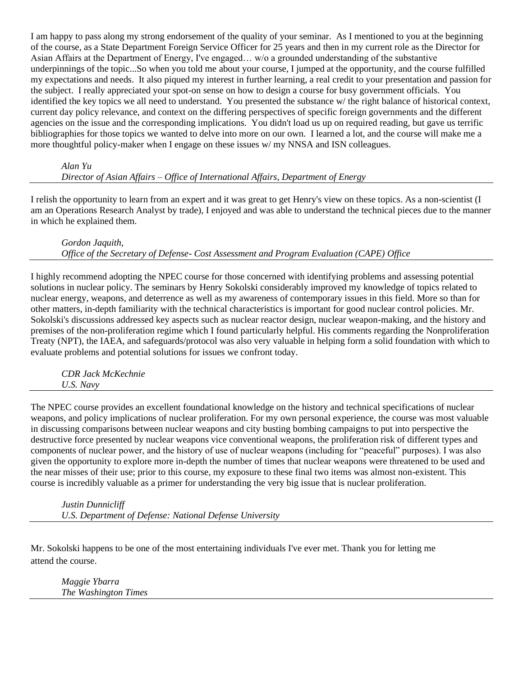I am happy to pass along my strong endorsement of the quality of your seminar. As I mentioned to you at the beginning of the course, as a State Department Foreign Service Officer for 25 years and then in my current role as the Director for Asian Affairs at the Department of Energy, I've engaged… w/o a grounded understanding of the substantive underpinnings of the topic...So when you told me about your course, I jumped at the opportunity, and the course fulfilled my expectations and needs. It also piqued my interest in further learning, a real credit to your presentation and passion for the subject. I really appreciated your spot-on sense on how to design a course for busy government officials. You identified the key topics we all need to understand. You presented the substance w/ the right balance of historical context, current day policy relevance, and context on the differing perspectives of specific foreign governments and the different agencies on the issue and the corresponding implications. You didn't load us up on required reading, but gave us terrific bibliographies for those topics we wanted to delve into more on our own. I learned a lot, and the course will make me a more thoughtful policy-maker when I engage on these issues w/ my NNSA and ISN colleagues.

#### *Alan Yu Director of Asian Affairs – Office of International Affairs, Department of Energy*

I relish the opportunity to learn from an expert and it was great to get Henry's view on these topics. As a non-scientist (I am an Operations Research Analyst by trade), I enjoyed and was able to understand the technical pieces due to the manner in which he explained them.

*Gordon Jaquith,*

*Office of the Secretary of Defense- Cost Assessment and Program Evaluation (CAPE) Office*

I highly recommend adopting the NPEC course for those concerned with identifying problems and assessing potential solutions in nuclear policy. The seminars by Henry Sokolski considerably improved my knowledge of topics related to nuclear energy, weapons, and deterrence as well as my awareness of contemporary issues in this field. More so than for other matters, in-depth familiarity with the technical characteristics is important for good nuclear control policies. Mr. Sokolski's discussions addressed key aspects such as nuclear reactor design, nuclear weapon-making, and the history and premises of the non-proliferation regime which I found particularly helpful. His comments regarding the Nonproliferation Treaty (NPT), the IAEA, and safeguards/protocol was also very valuable in helping form a solid foundation with which to evaluate problems and potential solutions for issues we confront today.

*CDR Jack McKechnie U.S. Navy*

The NPEC course provides an excellent foundational knowledge on the history and technical specifications of nuclear weapons, and policy implications of nuclear proliferation. For my own personal experience, the course was most valuable in discussing comparisons between nuclear weapons and city busting bombing campaigns to put into perspective the destructive force presented by nuclear weapons vice conventional weapons, the proliferation risk of different types and components of nuclear power, and the history of use of nuclear weapons (including for "peaceful" purposes). I was also given the opportunity to explore more in-depth the number of times that nuclear weapons were threatened to be used and the near misses of their use; prior to this course, my exposure to these final two items was almost non-existent. This course is incredibly valuable as a primer for understanding the very big issue that is nuclear proliferation.

*Justin Dunnicliff U.S. Department of Defense: National Defense University*

Mr. Sokolski happens to be one of the most entertaining individuals I've ever met. Thank you for letting me attend the course.

*Maggie Ybarra The Washington Times*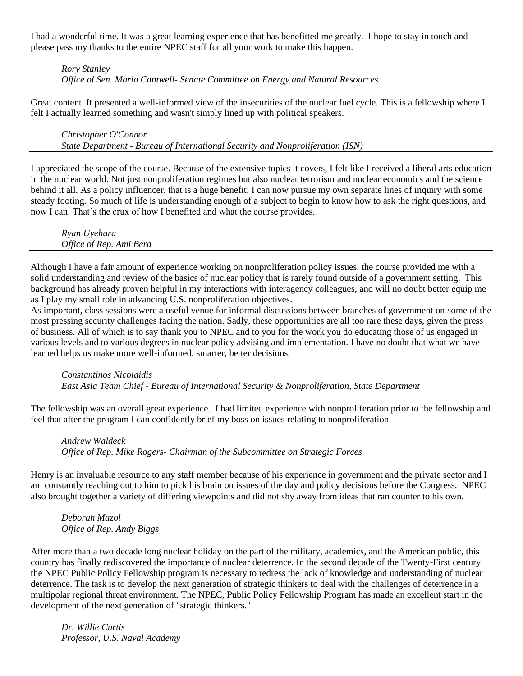I had a wonderful time. It was a great learning experience that has benefitted me greatly. I hope to stay in touch and please pass my thanks to the entire NPEC staff for all your work to make this happen.

*Rory Stanley Office of Sen. Maria Cantwell- Senate Committee on Energy and Natural Resources*

Great content. It presented a well-informed view of the insecurities of the nuclear fuel cycle. This is a fellowship where I felt I actually learned something and wasn't simply lined up with political speakers.

*Christopher O'Connor State Department - Bureau of International Security and Nonproliferation (ISN)*

I appreciated the scope of the course. Because of the extensive topics it covers, I felt like I received a liberal arts education in the nuclear world. Not just nonproliferation regimes but also nuclear terrorism and nuclear economics and the science behind it all. As a policy influencer, that is a huge benefit; I can now pursue my own separate lines of inquiry with some steady footing. So much of life is understanding enough of a subject to begin to know how to ask the right questions, and now I can. That's the crux of how I benefited and what the course provides.

*Ryan Uyehara Office of Rep. Ami Bera*

Although I have a fair amount of experience working on nonproliferation policy issues, the course provided me with a solid understanding and review of the basics of nuclear policy that is rarely found outside of a government setting. This background has already proven helpful in my interactions with interagency colleagues, and will no doubt better equip me as I play my small role in advancing U.S. nonproliferation objectives.

As important, class sessions were a useful venue for informal discussions between branches of government on some of the most pressing security challenges facing the nation. Sadly, these opportunities are all too rare these days, given the press of business. All of which is to say thank you to NPEC and to you for the work you do educating those of us engaged in various levels and to various degrees in nuclear policy advising and implementation. I have no doubt that what we have learned helps us make more well-informed, smarter, better decisions.

*Constantinos Nicolaidis East Asia Team Chief - Bureau of International Security & Nonproliferation, State Department*

The fellowship was an overall great experience. I had limited experience with nonproliferation prior to the fellowship and feel that after the program I can confidently brief my boss on issues relating to nonproliferation.

*Andrew Waldeck Office of Rep. Mike Rogers- Chairman of the Subcommittee on Strategic Forces*

Henry is an invaluable resource to any staff member because of his experience in government and the private sector and I am constantly reaching out to him to pick his brain on issues of the day and policy decisions before the Congress. NPEC also brought together a variety of differing viewpoints and did not shy away from ideas that ran counter to his own.

*Deborah Mazol Office of Rep. Andy Biggs*

After more than a two decade long nuclear holiday on the part of the military, academics, and the American public, this country has finally rediscovered the importance of nuclear deterrence. In the second decade of the Twenty-First century the NPEC Public Policy Fellowship program is necessary to redress the lack of knowledge and understanding of nuclear deterrence. The task is to develop the next generation of strategic thinkers to deal with the challenges of deterrence in a multipolar regional threat environment. The NPEC, Public Policy Fellowship Program has made an excellent start in the development of the next generation of "strategic thinkers."

*Dr. Willie Curtis Professor, U.S. Naval Academy*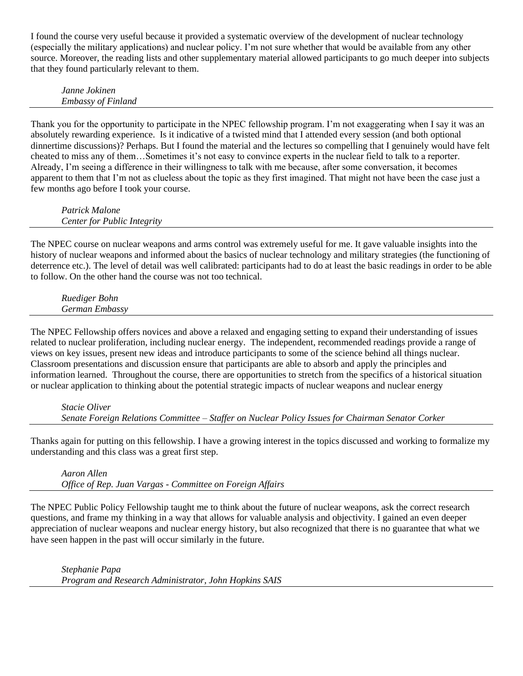I found the course very useful because it provided a systematic overview of the development of nuclear technology (especially the military applications) and nuclear policy. I'm not sure whether that would be available from any other source. Moreover, the reading lists and other supplementary material allowed participants to go much deeper into subjects that they found particularly relevant to them.

*Janne Jokinen Embassy of Finland*

Thank you for the opportunity to participate in the NPEC fellowship program. I'm not exaggerating when I say it was an absolutely rewarding experience. Is it indicative of a twisted mind that I attended every session (and both optional dinnertime discussions)? Perhaps. But I found the material and the lectures so compelling that I genuinely would have felt cheated to miss any of them…Sometimes it's not easy to convince experts in the nuclear field to talk to a reporter. Already, I'm seeing a difference in their willingness to talk with me because, after some conversation, it becomes apparent to them that I'm not as clueless about the topic as they first imagined. That might not have been the case just a few months ago before I took your course.

*Patrick Malone Center for Public Integrity* 

The NPEC course on nuclear weapons and arms control was extremely useful for me. It gave valuable insights into the history of nuclear weapons and informed about the basics of nuclear technology and military strategies (the functioning of deterrence etc.). The level of detail was well calibrated: participants had to do at least the basic readings in order to be able to follow. On the other hand the course was not too technical.

*Ruediger Bohn German Embassy*

The NPEC Fellowship offers novices and above a relaxed and engaging setting to expand their understanding of issues related to nuclear proliferation, including nuclear energy. The independent, recommended readings provide a range of views on key issues, present new ideas and introduce participants to some of the science behind all things nuclear. Classroom presentations and discussion ensure that participants are able to absorb and apply the principles and information learned. Throughout the course, there are opportunities to stretch from the specifics of a historical situation or nuclear application to thinking about the potential strategic impacts of nuclear weapons and nuclear energy

*Stacie Oliver Senate Foreign Relations Committee – Staffer on Nuclear Policy Issues for Chairman Senator Corker*

Thanks again for putting on this fellowship. I have a growing interest in the topics discussed and working to formalize my understanding and this class was a great first step.

*Aaron Allen Office of Rep. Juan Vargas - Committee on Foreign Affairs*

The NPEC Public Policy Fellowship taught me to think about the future of nuclear weapons, ask the correct research questions, and frame my thinking in a way that allows for valuable analysis and objectivity. I gained an even deeper appreciation of nuclear weapons and nuclear energy history, but also recognized that there is no guarantee that what we have seen happen in the past will occur similarly in the future.

*Stephanie Papa Program and Research Administrator, John Hopkins SAIS*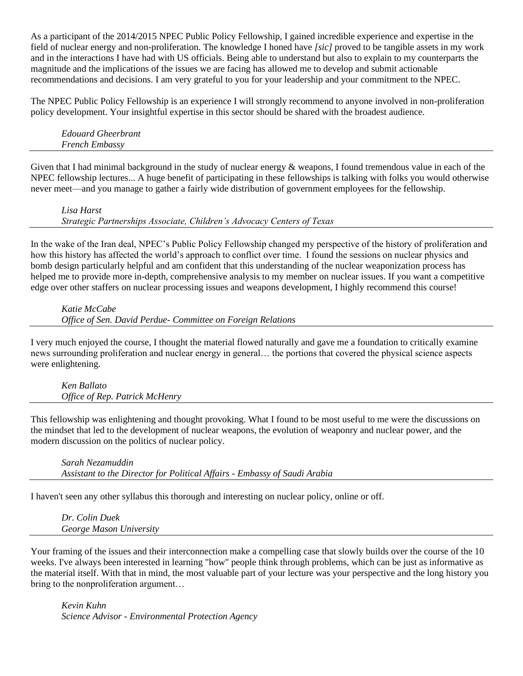As a participant of the 2014/2015 NPEC Public Policy Fellowship, I gained incredible experience and expertise in the field of nuclear energy and non-proliferation. The knowledge I honed have *[sic]* proved to be tangible assets in my work and in the interactions I have had with US officials. Being able to understand but also to explain to my counterparts the magnitude and the implications of the issues we are facing has allowed me to develop and submit actionable recommendations and decisions. I am very grateful to you for your leadership and your commitment to the NPEC.

The NPEC Public Policy Fellowship is an experience I will strongly recommend to anyone involved in non-proliferation policy development. Your insightful expertise in this sector should be shared with the broadest audience.

*Edouard Gheerbrant French Embassy*

Given that I had minimal background in the study of nuclear energy  $\&$  weapons, I found tremendous value in each of the NPEC fellowship lectures... A huge benefit of participating in these fellowships is talking with folks you would otherwise never meet—and you manage to gather a fairly wide distribution of government employees for the fellowship.

*Lisa Harst Strategic Partnerships Associate, Children's Advocacy Centers of Texas*

In the wake of the Iran deal, NPEC's Public Policy Fellowship changed my perspective of the history of proliferation and how this history has affected the world's approach to conflict over time. I found the sessions on nuclear physics and bomb design particularly helpful and am confident that this understanding of the nuclear weaponization process has helped me to provide more in-depth, comprehensive analysis to my member on nuclear issues. If you want a competitive edge over other staffers on nuclear processing issues and weapons development, I highly recommend this course!

*Katie McCabe Office of Sen. David Perdue- Committee on Foreign Relations*

I very much enjoyed the course, I thought the material flowed naturally and gave me a foundation to critically examine news surrounding proliferation and nuclear energy in general… the portions that covered the physical science aspects were enlightening.

*Ken Ballato Office of Rep. Patrick McHenry*

This fellowship was enlightening and thought provoking. What I found to be most useful to me were the discussions on the mindset that led to the development of nuclear weapons, the evolution of weaponry and nuclear power, and the modern discussion on the politics of nuclear policy.

*Sarah Nezamuddin Assistant to the Director for Political Affairs - Embassy of Saudi Arabia*

I haven't seen any other syllabus this thorough and interesting on nuclear policy, online or off.

*Dr. Colin Duek George Mason University*

Your framing of the issues and their interconnection make a compelling case that slowly builds over the course of the 10 weeks. I've always been interested in learning "how" people think through problems, which can be just as informative as the material itself. With that in mind, the most valuable part of your lecture was your perspective and the long history you bring to the nonproliferation argument…

*Kevin Kuhn Science Advisor - Environmental Protection Agency*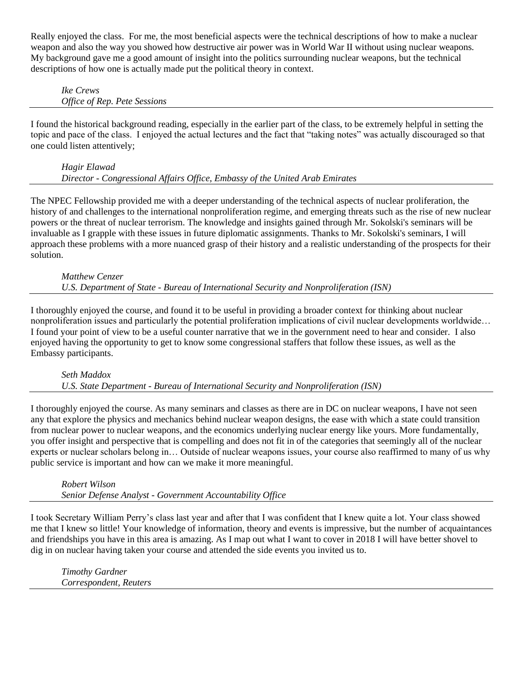Really enjoyed the class. For me, the most beneficial aspects were the technical descriptions of how to make a nuclear weapon and also the way you showed how destructive air power was in World War II without using nuclear weapons. My background gave me a good amount of insight into the politics surrounding nuclear weapons, but the technical descriptions of how one is actually made put the political theory in context.

*Ike Crews Office of Rep. Pete Sessions*

I found the historical background reading, especially in the earlier part of the class, to be extremely helpful in setting the topic and pace of the class. I enjoyed the actual lectures and the fact that "taking notes" was actually discouraged so that one could listen attentively;

# *Hagir Elawad Director - Congressional Affairs Office, Embassy of the United Arab Emirates*

The NPEC Fellowship provided me with a deeper understanding of the technical aspects of nuclear proliferation, the history of and challenges to the international nonproliferation regime, and emerging threats such as the rise of new nuclear powers or the threat of nuclear terrorism. The knowledge and insights gained through Mr. Sokolski's seminars will be invaluable as I grapple with these issues in future diplomatic assignments. Thanks to Mr. Sokolski's seminars, I will approach these problems with a more nuanced grasp of their history and a realistic understanding of the prospects for their solution.

#### *Matthew Cenzer U.S. Department of State - Bureau of International Security and Nonproliferation (ISN)*

I thoroughly enjoyed the course, and found it to be useful in providing a broader context for thinking about nuclear nonproliferation issues and particularly the potential proliferation implications of civil nuclear developments worldwide… I found your point of view to be a useful counter narrative that we in the government need to hear and consider. I also enjoyed having the opportunity to get to know some congressional staffers that follow these issues, as well as the Embassy participants.

# *Seth Maddox U.S. State Department - Bureau of International Security and Nonproliferation (ISN)*

I thoroughly enjoyed the course. As many seminars and classes as there are in DC on nuclear weapons, I have not seen any that explore the physics and mechanics behind nuclear weapon designs, the ease with which a state could transition from nuclear power to nuclear weapons, and the economics underlying nuclear energy like yours. More fundamentally, you offer insight and perspective that is compelling and does not fit in of the categories that seemingly all of the nuclear experts or nuclear scholars belong in… Outside of nuclear weapons issues, your course also reaffirmed to many of us why public service is important and how can we make it more meaningful.

*Robert Wilson Senior Defense Analyst - Government Accountability Office*

I took Secretary William Perry's class last year and after that I was confident that I knew quite a lot. Your class showed me that I knew so little! Your knowledge of information, theory and events is impressive, but the number of acquaintances and friendships you have in this area is amazing. As I map out what I want to cover in 2018 I will have better shovel to dig in on nuclear having taken your course and attended the side events you invited us to.

*Timothy Gardner Correspondent, Reuters*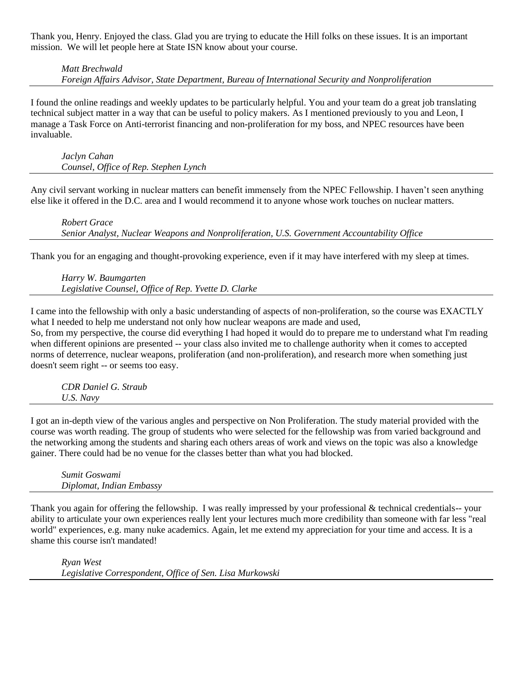Thank you, Henry. Enjoyed the class. Glad you are trying to educate the Hill folks on these issues. It is an important mission. We will let people here at State ISN know about your course.

#### *Matt Brechwald Foreign Affairs Advisor, State Department, Bureau of International Security and Nonproliferation*

I found the online readings and weekly updates to be particularly helpful. You and your team do a great job translating technical subject matter in a way that can be useful to policy makers. As I mentioned previously to you and Leon, I manage a Task Force on Anti-terrorist financing and non-proliferation for my boss, and NPEC resources have been invaluable.

*Jaclyn Cahan Counsel, Office of Rep. Stephen Lynch*

Any civil servant working in nuclear matters can benefit immensely from the NPEC Fellowship. I haven't seen anything else like it offered in the D.C. area and I would recommend it to anyone whose work touches on nuclear matters.

*Robert Grace Senior Analyst, Nuclear Weapons and Nonproliferation, U.S. Government Accountability Office* 

Thank you for an engaging and thought-provoking experience, even if it may have interfered with my sleep at times.

*Harry W. Baumgarten Legislative Counsel, Office of Rep. Yvette D. Clarke*

I came into the fellowship with only a basic understanding of aspects of non-proliferation, so the course was EXACTLY what I needed to help me understand not only how nuclear weapons are made and used, So, from my perspective, the course did everything I had hoped it would do to prepare me to understand what I'm reading when different opinions are presented -- your class also invited me to challenge authority when it comes to accepted norms of deterrence, nuclear weapons, proliferation (and non-proliferation), and research more when something just doesn't seem right -- or seems too easy.

*CDR Daniel G. Straub U.S. Navy*

I got an in-depth view of the various angles and perspective on Non Proliferation. The study material provided with the course was worth reading. The group of students who were selected for the fellowship was from varied background and the networking among the students and sharing each others areas of work and views on the topic was also a knowledge gainer. There could had be no venue for the classes better than what you had blocked.

*Sumit Goswami Diplomat, Indian Embassy*

Thank you again for offering the fellowship. I was really impressed by your professional  $\&$  technical credentials-- your ability to articulate your own experiences really lent your lectures much more credibility than someone with far less "real world" experiences, e.g. many nuke academics. Again, let me extend my appreciation for your time and access. It is a shame this course isn't mandated!

*Ryan West Legislative Correspondent, Office of Sen. Lisa Murkowski*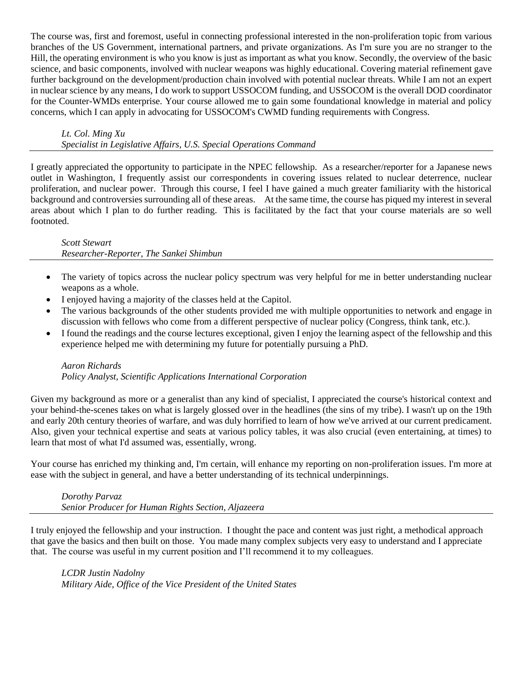The course was, first and foremost, useful in connecting professional interested in the non-proliferation topic from various branches of the US Government, international partners, and private organizations. As I'm sure you are no stranger to the Hill, the operating environment is who you know is just as important as what you know. Secondly, the overview of the basic science, and basic components, involved with nuclear weapons was highly educational. Covering material refinement gave further background on the development/production chain involved with potential nuclear threats. While I am not an expert in nuclear science by any means, I do work to support USSOCOM funding, and USSOCOM is the overall DOD coordinator for the Counter-WMDs enterprise. Your course allowed me to gain some foundational knowledge in material and policy concerns, which I can apply in advocating for USSOCOM's CWMD funding requirements with Congress.

*Lt. Col. Ming Xu*

*Specialist in Legislative Affairs, U.S. Special Operations Command*

I greatly appreciated the opportunity to participate in the NPEC fellowship. As a researcher/reporter for a Japanese news outlet in Washington, I frequently assist our correspondents in covering issues related to nuclear deterrence, nuclear proliferation, and nuclear power. Through this course, I feel I have gained a much greater familiarity with the historical background and controversies surrounding all of these areas. At the same time, the course has piqued my interest in several areas about which I plan to do further reading. This is facilitated by the fact that your course materials are so well footnoted.

#### *Scott Stewart*

*Researcher-Reporter, The Sankei Shimbun*

- The variety of topics across the nuclear policy spectrum was very helpful for me in better understanding nuclear weapons as a whole.
- I enjoyed having a majority of the classes held at the Capitol.
- The various backgrounds of the other students provided me with multiple opportunities to network and engage in discussion with fellows who come from a different perspective of nuclear policy (Congress, think tank, etc.).
- I found the readings and the course lectures exceptional, given I enjoy the learning aspect of the fellowship and this experience helped me with determining my future for potentially pursuing a PhD.

# *Aaron Richards Policy Analyst, Scientific Applications International Corporation*

Given my background as more or a generalist than any kind of specialist, I appreciated the course's historical context and your behind-the-scenes takes on what is largely glossed over in the headlines (the sins of my tribe). I wasn't up on the 19th and early 20th century theories of warfare, and was duly horrified to learn of how we've arrived at our current predicament. Also, given your technical expertise and seats at various policy tables, it was also crucial (even entertaining, at times) to learn that most of what I'd assumed was, essentially, wrong.

Your course has enriched my thinking and, I'm certain, will enhance my reporting on non-proliferation issues. I'm more at ease with the subject in general, and have a better understanding of its technical underpinnings.

*Dorothy Parvaz Senior Producer for Human Rights Section, Aljazeera*

I truly enjoyed the fellowship and your instruction. I thought the pace and content was just right, a methodical approach that gave the basics and then built on those. You made many complex subjects very easy to understand and I appreciate that. The course was useful in my current position and I'll recommend it to my colleagues.

*LCDR Justin Nadolny Military Aide, Office of the Vice President of the United States*